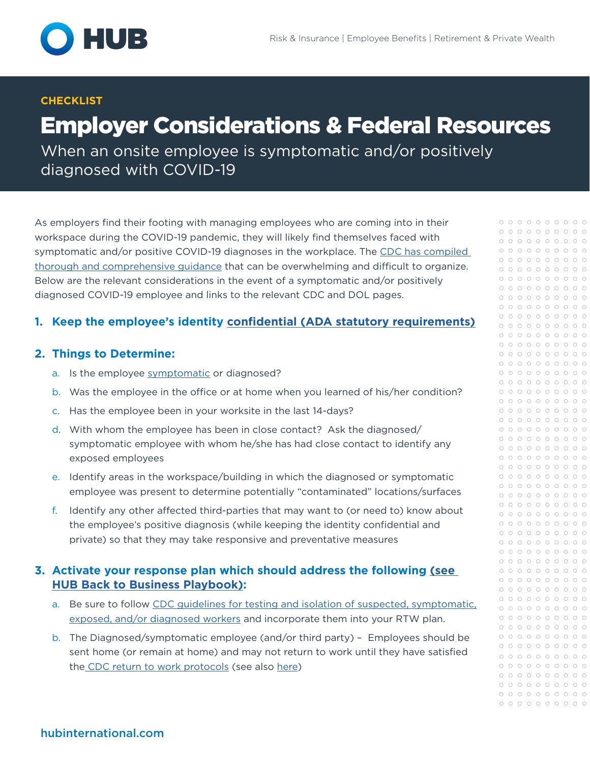

#### **CHECKLIST**

# Employer Considerations & Federal Resources

When an onsite employee is symptomatic and/or positively diagnosed with COVID-19

As employers find their footing with managing employees who are coming into in their workspace during the COVID-19 pandemic, they will likely find themselves faced with symptomatic and/or positive COVID-19 diagnoses in the workplace. The [CDC has compiled](https://www.cdc.gov/coronavirus/2019-ncov/index.html)  [thorough and comprehensive guidance](https://www.cdc.gov/coronavirus/2019-ncov/index.html) that can be overwhelming and difficult to organize. Below are the relevant considerations in the event of a symptomatic and/or positively diagnosed COVID-19 employee and links to the relevant CDC and DOL pages.

## **1. Keep the employee's identity [confidential \(ADA statutory requirements\)](https://www.eeoc.gov/laws/guidance/fact-sheet-disability-discrimination)**

### **2. Things to Determine:**

- a. Is the employee [symptomatic](https://www.cdc.gov/coronavirus/2019-ncov/symptoms-testing/symptoms.html) or diagnosed?
- b. Was the employee in the office or at home when you learned of his/her condition?
- c. Has the employee been in your worksite in the last 14-days?
- d. With whom the employee has been in close contact? Ask the diagnosed/ symptomatic employee with whom he/she has had close contact to identify any exposed employees
- e. Identify areas in the workspace/building in which the diagnosed or symptomatic employee was present to determine potentially "contaminated" locations/surfaces
- f. Identify any other affected third-parties that may want to (or need to) know about the employee's positive diagnosis (while keeping the identity confidential and private) so that they may take responsive and preventative measures

## **3. Activate your response plan which should address the following [\(see](https://www.hubinternational.com/blog/2020/05/back-to-business-playbook-ebook/)  [HUB Back to Business Playbook\)](https://www.hubinternational.com/blog/2020/05/back-to-business-playbook-ebook/):**

- a. Be sure to follow [CDC guidelines for testing and isolation of suspected, symptomatic,](https://www.cdc.gov/coronavirus/2019-ncov/community/organizations/testing-non-healthcare-workplaces.html#strategy)  [exposed, and/or diagnosed workers](https://www.cdc.gov/coronavirus/2019-ncov/community/organizations/testing-non-healthcare-workplaces.html#strategy) and incorporate them into your RTW plan.
- b. The Diagnosed/symptomatic employee (and/or third party) Employees should be sent home (or remain at home) and may not return to work until they have satisfied th[e CDC return to work protocols](https://www.cdc.gov/coronavirus/2019-ncov/hcp/disposition-in-home-patients.html) (see also [here](https://www.cdc.gov/coronavirus/2019-ncov/if-you-are-sick/end-home-isolation.html?CDC_AA_refVal=https%3A%2F%2Fwww.cdc.gov%2Fcoronavirus%2F2019-ncov%2Fprevent-getting-sick%2Fwhen-its-safe.html))

### [hubinternational.com](http://hubinternational.com)